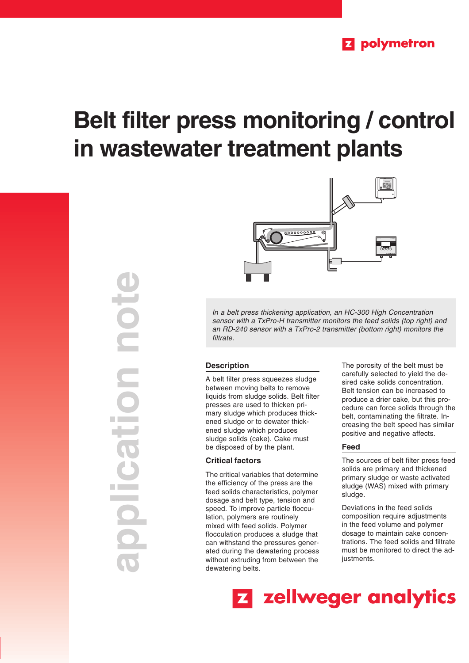# **Belt filter press monitoring / control in wastewater treatment plants**





In a belt press thickening application, an HC-300 High Concentration sensor with a TxPro-H transmitter monitors the feed solids (top right) and an RD-240 sensor with a TxPro-2 transmitter (bottom right) monitors the filtrate.

## **Description**

A belt filter press squeezes sludge between moving belts to remove liquids from sludge solids. Belt filter presses are used to thicken primary sludge which produces thickened sludge or to dewater thickened sludge which produces sludge solids (cake). Cake must be disposed of by the plant.

# **Critical factors**

The critical variables that determine the efficiency of the press are the feed solids characteristics, polymer dosage and belt type, tension and speed. To improve particle flocculation, polymers are routinely mixed with feed solids. Polymer flocculation produces a sludge that can withstand the pressures generated during the dewatering process without extruding from between the dewatering belts.

The porosity of the belt must be carefully selected to yield the desired cake solids concentration. Belt tension can be increased to produce a drier cake, but this procedure can force solids through the belt, contaminating the filtrate. Increasing the belt speed has similar positive and negative affects.

### **Feed**

The sources of belt filter press feed solids are primary and thickened primary sludge or waste activated sludge (WAS) mixed with primary sludge.

Deviations in the feed solids composition require adjustments in the feed volume and polymer dosage to maintain cake concentrations. The feed solids and filtrate must be monitored to direct the adjustments.

Z zellweger analytics